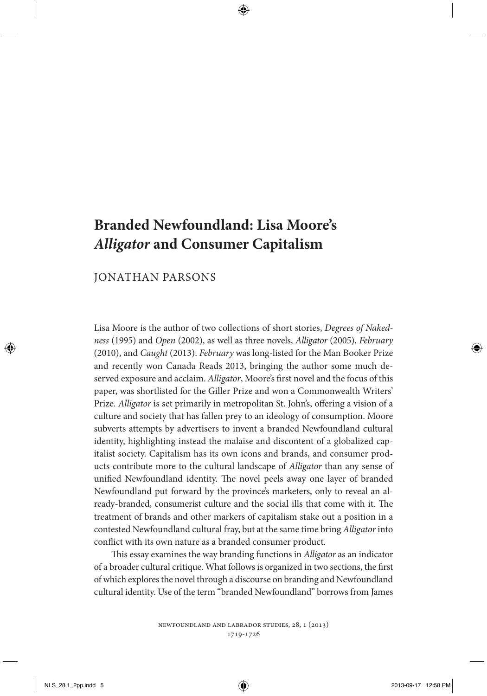# **Branded Newfoundland: Lisa Moore's**  *Alligator* **and Consumer Capitalism**

## JONATHAN PARSONS

Lisa Moore is the author of two collections of short stories, *Degrees of Nakedness* (1995) and *Open* (2002), as well as three novels, *Alligator* (2005), *February* (2010), and *Caught* (2013). *February* was long-listed for the Man Booker Prize and recently won Canada Reads 2013, bringing the author some much deserved exposure and acclaim. *Alligator*, Moore's first novel and the focus of this paper, was shortlisted for the Giller Prize and won a Commonwealth Writers' Prize. *Alligator* is set primarily in metropolitan St. John's, offering a vision of a culture and society that has fallen prey to an ideology of consumption. Moore subverts attempts by advertisers to invent a branded Newfoundland cultural identity, highlighting instead the malaise and discontent of a globalized capitalist society. Capitalism has its own icons and brands, and consumer products contribute more to the cultural landscape of *Alligator* than any sense of unified Newfoundland identity. The novel peels away one layer of branded Newfoundland put forward by the province's marketers, only to reveal an already-branded, consumerist culture and the social ills that come with it. The treatment of brands and other markers of capitalism stake out a position in a contested Newfoundland cultural fray, but at the same time bring *Alligator* into conflict with its own nature as a branded consumer product.

This essay examines the way branding functions in *Alligator* as an indicator of a broader cultural critique. What follows is organized in two sections, the first of which explores the novel through a discourse on branding and Newfoundland cultural identity. Use of the term "branded Newfoundland" borrows from James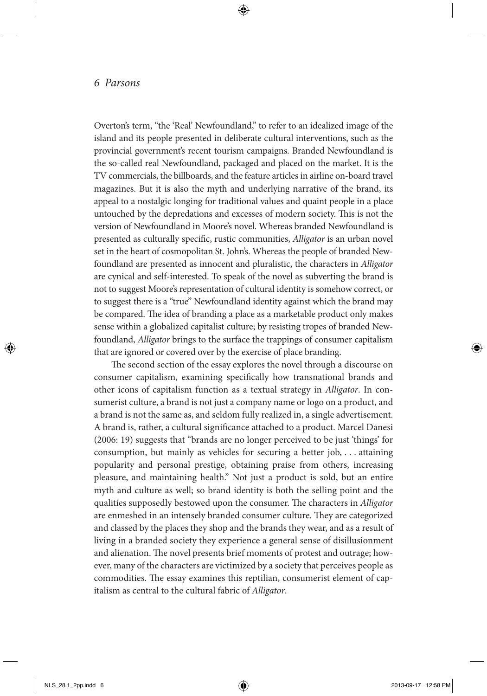Overton's term, "the 'Real' Newfoundland," to refer to an idealized image of the island and its people presented in deliberate cultural interventions, such as the provincial government's recent tourism campaigns. Branded Newfoundland is the so-called real Newfoundland, packaged and placed on the market. It is the TV commercials, the billboards, and the feature articles in airline on-board travel magazines. But it is also the myth and underlying narrative of the brand, its appeal to a nostalgic longing for traditional values and quaint people in a place untouched by the depredations and excesses of modern society. This is not the version of Newfoundland in Moore's novel. Whereas branded Newfoundland is presented as culturally specific, rustic communities, *Alligator* is an urban novel set in the heart of cosmopolitan St. John's. Whereas the people of branded Newfoundland are presented as innocent and pluralistic, the characters in *Alligator* are cynical and self-interested. To speak of the novel as subverting the brand is not to suggest Moore's representation of cultural identity is somehow correct, or to suggest there is a "true" Newfoundland identity against which the brand may be compared. The idea of branding a place as a marketable product only makes sense within a globalized capitalist culture; by resisting tropes of branded Newfoundland, *Alligator* brings to the surface the trappings of consumer capitalism that are ignored or covered over by the exercise of place branding.

The second section of the essay explores the novel through a discourse on consumer capitalism, examining specifically how transnational brands and other icons of capitalism function as a textual strategy in *Alligator*. In consumerist culture, a brand is not just a company name or logo on a product, and a brand is not the same as, and seldom fully realized in, a single advertisement. A brand is, rather, a cultural significance attached to a product. Marcel Danesi (2006: 19) suggests that "brands are no longer perceived to be just 'things' for consumption, but mainly as vehicles for securing a better job, . . . attaining popularity and personal prestige, obtaining praise from others, increasing pleasure, and maintaining health." Not just a product is sold, but an entire myth and culture as well; so brand identity is both the selling point and the qualities supposedly bestowed upon the consumer. The characters in *Alligator* are enmeshed in an intensely branded consumer culture. They are categorized and classed by the places they shop and the brands they wear, and as a result of living in a branded society they experience a general sense of disillusionment and alienation. The novel presents brief moments of protest and outrage; however, many of the characters are victimized by a society that perceives people as commodities. The essay examines this reptilian, consumerist element of capitalism as central to the cultural fabric of *Alligator*.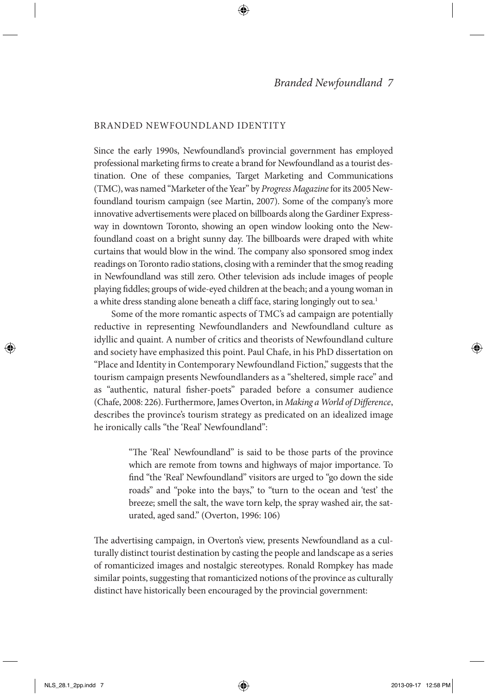#### BRANDED NEWFOUNDLAND IDENTITY

Since the early 1990s, Newfoundland's provincial government has employed professional marketing firms to create a brand for Newfoundland as a tourist destination. One of these companies, Target Marketing and Communications (TMC), was named "Marketer of the Year" by *Progress Magazine* for its 2005 Newfoundland tourism campaign (see Martin, 2007). Some of the company's more innovative advertisements were placed on billboards along the Gardiner Expressway in downtown Toronto, showing an open window looking onto the Newfoundland coast on a bright sunny day. The billboards were draped with white curtains that would blow in the wind. The company also sponsored smog index readings on Toronto radio stations, closing with a reminder that the smog reading in Newfoundland was still zero. Other television ads include images of people playing fiddles; groups of wide-eyed children at the beach; and a young woman in a white dress standing alone beneath a cliff face, staring longingly out to sea.<sup>1</sup>

Some of the more romantic aspects of TMC's ad campaign are potentially reductive in representing Newfoundlanders and Newfoundland culture as idyllic and quaint. A number of critics and theorists of Newfoundland culture and society have emphasized this point. Paul Chafe, in his PhD dissertation on "Place and Identity in Contemporary Newfoundland Fiction," suggests that the tourism campaign presents Newfoundlanders as a "sheltered, simple race" and as "authentic, natural fisher-poets" paraded before a consumer audience (Chafe, 2008: 226). Furthermore, James Overton, in *Making a World of Difference*, describes the province's tourism strategy as predicated on an idealized image he ironically calls "the 'Real' Newfoundland":

> "The 'Real' Newfoundland" is said to be those parts of the province which are remote from towns and highways of major importance. To find "the 'Real' Newfoundland" visitors are urged to "go down the side roads" and "poke into the bays," to "turn to the ocean and 'test' the breeze; smell the salt, the wave torn kelp, the spray washed air, the saturated, aged sand." (Overton, 1996: 106)

The advertising campaign, in Overton's view, presents Newfoundland as a culturally distinct tourist destination by casting the people and landscape as a series of romanticized images and nostalgic stereotypes. Ronald Rompkey has made similar points, suggesting that romanticized notions of the province as culturally distinct have historically been encouraged by the provincial government: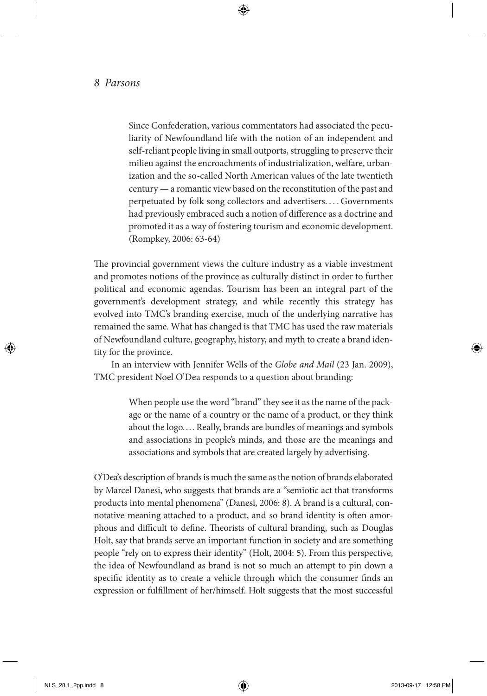Since Confederation, various commentators had associated the peculiarity of Newfoundland life with the notion of an independent and self-reliant people living in small outports, struggling to preserve their milieu against the encroachments of industrialization, welfare, urbanization and the so-called North American values of the late twentieth century — a romantic view based on the reconstitution of the past and perpetuated by folk song collectors and advertisers. . . . Governments had previously embraced such a notion of difference as a doctrine and promoted it as a way of fostering tourism and economic development. (Rompkey, 2006: 63-64)

The provincial government views the culture industry as a viable investment and promotes notions of the province as culturally distinct in order to further political and economic agendas. Tourism has been an integral part of the government's development strategy, and while recently this strategy has evolved into TMC's branding exercise, much of the underlying narrative has remained the same. What has changed is that TMC has used the raw materials of Newfoundland culture, geography, history, and myth to create a brand identity for the province.

In an interview with Jennifer Wells of the *Globe and Mail* (23 Jan. 2009), TMC president Noel O'Dea responds to a question about branding:

> When people use the word "brand" they see it as the name of the package or the name of a country or the name of a product, or they think about the logo.... Really, brands are bundles of meanings and symbols and associations in people's minds, and those are the meanings and associations and symbols that are created largely by advertising.

O'Dea's description of brands is much the same as the notion of brands elaborated by Marcel Danesi, who suggests that brands are a "semiotic act that transforms products into mental phenomena" (Danesi, 2006: 8). A brand is a cultural, connotative meaning attached to a product, and so brand identity is often amorphous and difficult to define. Theorists of cultural branding, such as Douglas Holt, say that brands serve an important function in society and are something people "rely on to express their identity" (Holt, 2004: 5). From this perspective, the idea of Newfoundland as brand is not so much an attempt to pin down a specific identity as to create a vehicle through which the consumer finds an expression or fulfillment of her/himself. Holt suggests that the most successful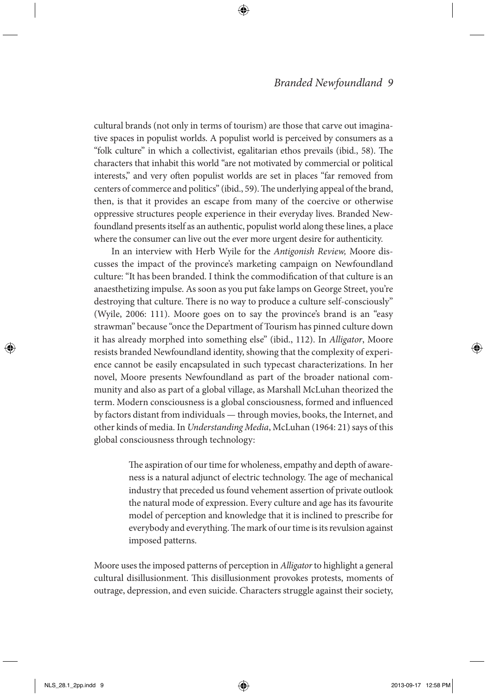cultural brands (not only in terms of tourism) are those that carve out imaginative spaces in populist worlds. A populist world is perceived by consumers as a "folk culture" in which a collectivist, egalitarian ethos prevails (ibid., 58). The characters that inhabit this world "are not motivated by commercial or political interests," and very often populist worlds are set in places "far removed from centers of commerce and politics" (ibid., 59). The underlying appeal of the brand, then, is that it provides an escape from many of the coercive or otherwise oppressive structures people experience in their everyday lives. Branded Newfoundland presents itself as an authentic, populist world along these lines, a place where the consumer can live out the ever more urgent desire for authenticity.

In an interview with Herb Wyile for the *Antigonish Review,* Moore discusses the impact of the province's marketing campaign on Newfoundland culture: "It has been branded. I think the commodification of that culture is an anaesthetizing impulse. As soon as you put fake lamps on George Street, you're destroying that culture. There is no way to produce a culture self-consciously" (Wyile, 2006: 111). Moore goes on to say the province's brand is an "easy strawman" because "once the Department of Tourism has pinned culture down it has already morphed into something else" (ibid., 112). In *Alligator*, Moore resists branded Newfoundland identity, showing that the complexity of experience cannot be easily encapsulated in such typecast characterizations. In her novel, Moore presents Newfoundland as part of the broader national community and also as part of a global village, as Marshall McLuhan theorized the term. Modern consciousness is a global consciousness, formed and influenced by factors distant from individuals — through movies, books, the Internet, and other kinds of media. In *Understanding Media*, McLuhan (1964: 21) says of this global consciousness through technology:

> The aspiration of our time for wholeness, empathy and depth of awareness is a natural adjunct of electric technology. The age of mechanical industry that preceded us found vehement assertion of private outlook the natural mode of expression. Every culture and age has its favourite model of perception and knowledge that it is inclined to prescribe for everybody and everything. The mark of our time is its revulsion against imposed patterns.

Moore uses the imposed patterns of perception in *Alligator* to highlight a general cultural disillusionment. This disillusionment provokes protests, moments of outrage, depression, and even suicide. Characters struggle against their society,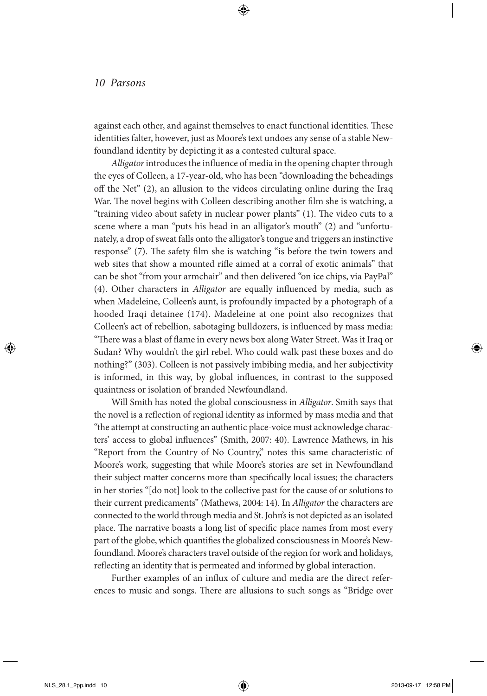against each other, and against themselves to enact functional identities. These identities falter, however, just as Moore's text undoes any sense of a stable Newfoundland identity by depicting it as a contested cultural space.

*Alligator* introduces the influence of media in the opening chapter through the eyes of Colleen, a 17-year-old, who has been "downloading the beheadings off the Net" (2), an allusion to the videos circulating online during the Iraq War. The novel begins with Colleen describing another film she is watching, a "training video about safety in nuclear power plants" (1). The video cuts to a scene where a man "puts his head in an alligator's mouth" (2) and "unfortunately, a drop of sweat falls onto the alligator's tongue and triggers an instinctive response" (7). The safety film she is watching "is before the twin towers and web sites that show a mounted rifle aimed at a corral of exotic animals" that can be shot "from your armchair" and then delivered "on ice chips, via PayPal" (4). Other characters in *Alligator* are equally influenced by media, such as when Madeleine, Colleen's aunt, is profoundly impacted by a photograph of a hooded Iraqi detainee (174). Madeleine at one point also recognizes that Colleen's act of rebellion, sabotaging bulldozers, is influenced by mass media: "There was a blast of flame in every news box along Water Street. Was it Iraq or Sudan? Why wouldn't the girl rebel. Who could walk past these boxes and do nothing?" (303). Colleen is not passively imbibing media, and her subjectivity is informed, in this way, by global influences, in contrast to the supposed quaintness or isolation of branded Newfoundland.

Will Smith has noted the global consciousness in *Alligator*. Smith says that the novel is a reflection of regional identity as informed by mass media and that "the attempt at constructing an authentic place-voice must acknowledge characters' access to global influences" (Smith, 2007: 40). Lawrence Mathews, in his "Report from the Country of No Country," notes this same characteristic of Moore's work, suggesting that while Moore's stories are set in Newfoundland their subject matter concerns more than specifically local issues; the characters in her stories "[do not] look to the collective past for the cause of or solutions to their current predicaments" (Mathews, 2004: 14). In *Alligator* the characters are connected to the world through media and St. John's is not depicted as an isolated place. The narrative boasts a long list of specific place names from most every part of the globe, which quantifies the globalized consciousness in Moore's Newfoundland. Moore's characters travel outside of the region for work and holidays, reflecting an identity that is permeated and informed by global interaction.

Further examples of an influx of culture and media are the direct references to music and songs. There are allusions to such songs as "Bridge over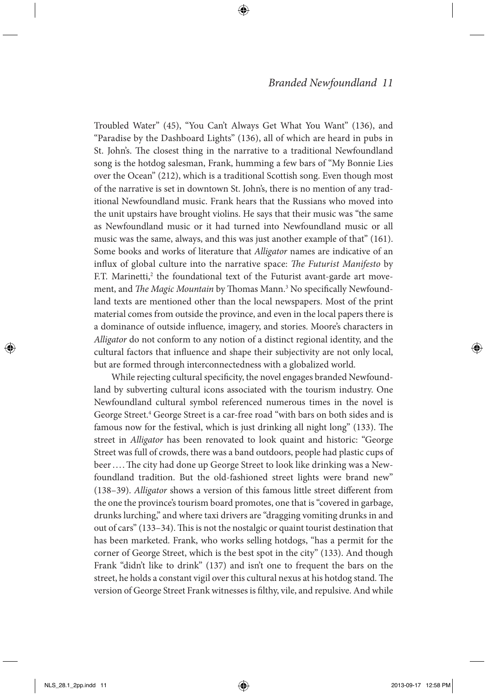Troubled Water" (45), "You Can't Always Get What You Want" (136), and "Paradise by the Dashboard Lights" (136), all of which are heard in pubs in St. John's. The closest thing in the narrative to a traditional Newfoundland song is the hotdog salesman, Frank, humming a few bars of "My Bonnie Lies over the Ocean" (212), which is a traditional Scottish song. Even though most of the narrative is set in downtown St. John's, there is no mention of any traditional Newfoundland music. Frank hears that the Russians who moved into the unit upstairs have brought violins. He says that their music was "the same as Newfoundland music or it had turned into Newfoundland music or all music was the same, always, and this was just another example of that" (161). Some books and works of literature that *Alligator* names are indicative of an influx of global culture into the narrative space: *The Futurist Manifesto* by F.T. Marinetti,<sup>2</sup> the foundational text of the Futurist avant-garde art movement, and *The Magic Mountain* by Thomas Mann.3 No specifically Newfoundland texts are mentioned other than the local newspapers. Most of the print material comes from outside the province, and even in the local papers there is a dominance of outside influence, imagery, and stories. Moore's characters in *Alligator* do not conform to any notion of a distinct regional identity, and the cultural factors that influence and shape their subjectivity are not only local, but are formed through interconnectedness with a globalized world.

While rejecting cultural specificity, the novel engages branded Newfoundland by subverting cultural icons associated with the tourism industry. One Newfoundland cultural symbol referenced numerous times in the novel is George Street.<sup>4</sup> George Street is a car-free road "with bars on both sides and is famous now for the festival, which is just drinking all night long" (133). The street in *Alligator* has been renovated to look quaint and historic: "George Street was full of crowds, there was a band outdoors, people had plastic cups of beer .... The city had done up George Street to look like drinking was a Newfoundland tradition. But the old-fashioned street lights were brand new" (138–39). *Alligator* shows a version of this famous little street different from the one the province's tourism board promotes, one that is "covered in garbage, drunks lurching," and where taxi drivers are "dragging vomiting drunks in and out of cars" (133–34). This is not the nostalgic or quaint tourist destination that has been marketed. Frank, who works selling hotdogs, "has a permit for the corner of George Street, which is the best spot in the city" (133). And though Frank "didn't like to drink" (137) and isn't one to frequent the bars on the street, he holds a constant vigil over this cultural nexus at his hotdog stand. The version of George Street Frank witnesses is filthy, vile, and repulsive. And while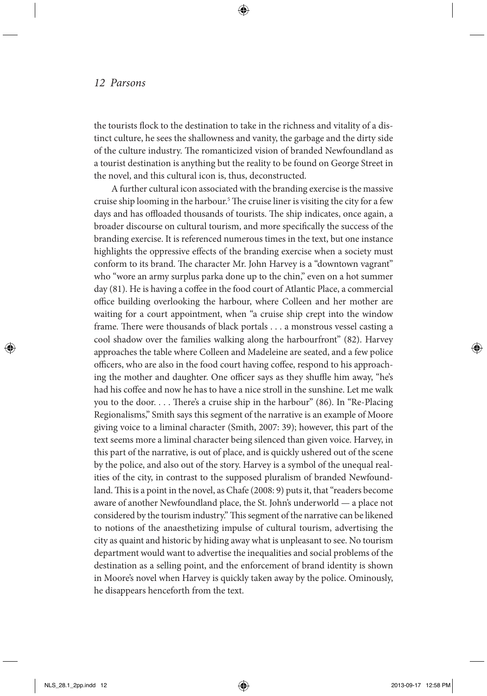the tourists flock to the destination to take in the richness and vitality of a distinct culture, he sees the shallowness and vanity, the garbage and the dirty side of the culture industry. The romanticized vision of branded Newfoundland as a tourist destination is anything but the reality to be found on George Street in the novel, and this cultural icon is, thus, deconstructed.

A further cultural icon associated with the branding exercise is the massive cruise ship looming in the harbour.5 The cruise liner is visiting the city for a few days and has offloaded thousands of tourists. The ship indicates, once again, a broader discourse on cultural tourism, and more specifically the success of the branding exercise. It is referenced numerous times in the text, but one instance highlights the oppressive effects of the branding exercise when a society must conform to its brand. The character Mr. John Harvey is a "downtown vagrant" who "wore an army surplus parka done up to the chin," even on a hot summer day (81). He is having a coffee in the food court of Atlantic Place, a commercial office building overlooking the harbour, where Colleen and her mother are waiting for a court appointment, when "a cruise ship crept into the window frame. There were thousands of black portals . . . a monstrous vessel casting a cool shadow over the families walking along the harbourfront" (82). Harvey approaches the table where Colleen and Madeleine are seated, and a few police officers, who are also in the food court having coffee, respond to his approaching the mother and daughter. One officer says as they shuffle him away, "he's had his coffee and now he has to have a nice stroll in the sunshine. Let me walk you to the door. . . . There's a cruise ship in the harbour" (86). In "Re-Placing Regionalisms," Smith says this segment of the narrative is an example of Moore giving voice to a liminal character (Smith, 2007: 39); however, this part of the text seems more a liminal character being silenced than given voice. Harvey, in this part of the narrative, is out of place, and is quickly ushered out of the scene by the police, and also out of the story. Harvey is a symbol of the unequal realities of the city, in contrast to the supposed pluralism of branded Newfoundland. This is a point in the novel, as Chafe (2008: 9) puts it, that "readers become aware of another Newfoundland place, the St. John's underworld — a place not considered by the tourism industry." This segment of the narrative can be likened to notions of the anaesthetizing impulse of cultural tourism, advertising the city as quaint and historic by hiding away what is unpleasant to see. No tourism department would want to advertise the inequalities and social problems of the destination as a selling point, and the enforcement of brand identity is shown in Moore's novel when Harvey is quickly taken away by the police. Ominously, he disappears henceforth from the text.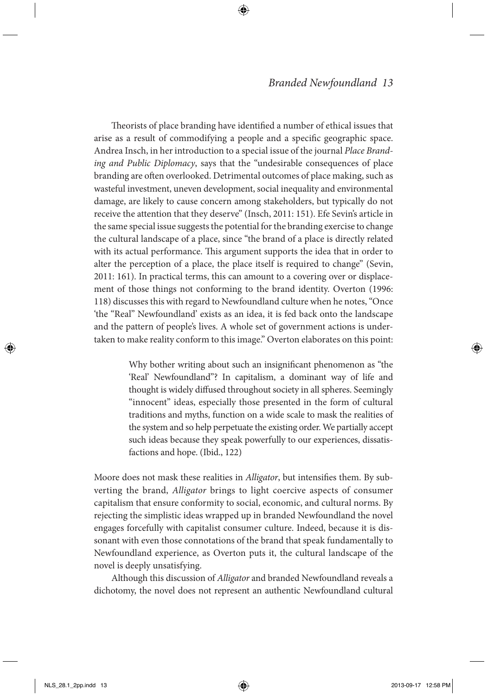Theorists of place branding have identified a number of ethical issues that arise as a result of commodifying a people and a specific geographic space. Andrea Insch, in her introduction to a special issue of the journal *Place Branding and Public Diplomacy*, says that the "undesirable consequences of place branding are often overlooked. Detrimental outcomes of place making, such as wasteful investment, uneven development, social inequality and environmental damage, are likely to cause concern among stakeholders, but typically do not receive the attention that they deserve" (Insch, 2011: 151). Efe Sevin's article in the same special issue suggests the potential for the branding exercise to change the cultural landscape of a place, since "the brand of a place is directly related with its actual performance. This argument supports the idea that in order to alter the perception of a place, the place itself is required to change" (Sevin, 2011: 161). In practical terms, this can amount to a covering over or displacement of those things not conforming to the brand identity. Overton (1996: 118) discusses this with regard to Newfoundland culture when he notes, "Once 'the "Real" Newfoundland' exists as an idea, it is fed back onto the landscape and the pattern of people's lives. A whole set of government actions is undertaken to make reality conform to this image." Overton elaborates on this point:

> Why bother writing about such an insignificant phenomenon as "the 'Real' Newfoundland"? In capitalism, a dominant way of life and thought is widely diffused throughout society in all spheres. Seemingly "innocent" ideas, especially those presented in the form of cultural traditions and myths, function on a wide scale to mask the realities of the system and so help perpetuate the existing order. We partially accept such ideas because they speak powerfully to our experiences, dissatisfactions and hope. (Ibid., 122)

Moore does not mask these realities in *Alligator*, but intensifies them. By subverting the brand, *Alligator* brings to light coercive aspects of consumer capitalism that ensure conformity to social, economic, and cultural norms. By rejecting the simplistic ideas wrapped up in branded Newfoundland the novel engages forcefully with capitalist consumer culture. Indeed, because it is dissonant with even those connotations of the brand that speak fundamentally to Newfoundland experience, as Overton puts it, the cultural landscape of the novel is deeply unsatisfying.

Although this discussion of *Alligator* and branded Newfoundland reveals a dichotomy, the novel does not represent an authentic Newfoundland cultural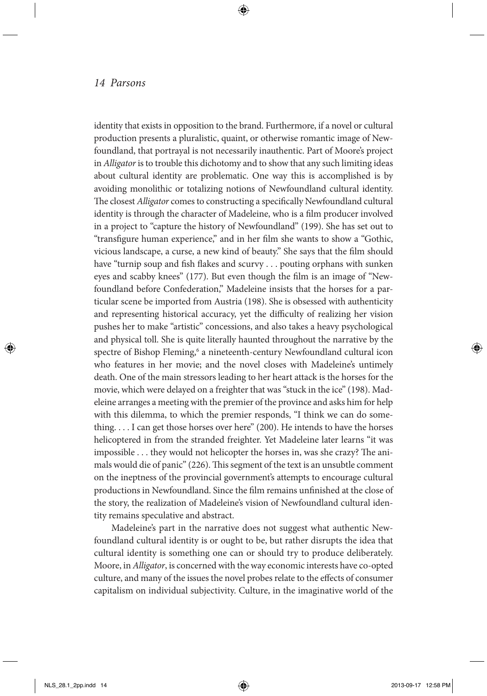identity that exists in opposition to the brand. Furthermore, if a novel or cultural production presents a pluralistic, quaint, or otherwise romantic image of Newfoundland, that portrayal is not necessarily inauthentic. Part of Moore's project in *Alligator* is to trouble this dichotomy and to show that any such limiting ideas about cultural identity are problematic. One way this is accomplished is by avoiding monolithic or totalizing notions of Newfoundland cultural identity. The closest *Alligator* comes to constructing a specifically Newfoundland cultural identity is through the character of Madeleine, who is a film producer involved in a project to "capture the history of Newfoundland" (199). She has set out to "transfigure human experience," and in her film she wants to show a "Gothic, vicious landscape, a curse, a new kind of beauty." She says that the film should have "turnip soup and fish flakes and scurvy . . . pouting orphans with sunken eyes and scabby knees" (177). But even though the film is an image of "Newfoundland before Confederation," Madeleine insists that the horses for a particular scene be imported from Austria (198). She is obsessed with authenticity and representing historical accuracy, yet the difficulty of realizing her vision pushes her to make "artistic" concessions, and also takes a heavy psychological and physical toll. She is quite literally haunted throughout the narrative by the spectre of Bishop Fleming,<sup>6</sup> a nineteenth-century Newfoundland cultural icon who features in her movie; and the novel closes with Madeleine's untimely death. One of the main stressors leading to her heart attack is the horses for the movie, which were delayed on a freighter that was "stuck in the ice" (198). Madeleine arranges a meeting with the premier of the province and asks him for help with this dilemma, to which the premier responds, "I think we can do something. . . . I can get those horses over here" (200). He intends to have the horses helicoptered in from the stranded freighter. Yet Madeleine later learns "it was impossible . . . they would not helicopter the horses in, was she crazy? The animals would die of panic" (226). This segment of the text is an unsubtle comment on the ineptness of the provincial government's attempts to encourage cultural productions in Newfoundland. Since the film remains unfinished at the close of the story, the realization of Madeleine's vision of Newfoundland cultural identity remains speculative and abstract.

Madeleine's part in the narrative does not suggest what authentic Newfoundland cultural identity is or ought to be, but rather disrupts the idea that cultural identity is something one can or should try to produce deliberately. Moore, in *Alligator*, is concerned with the way economic interests have co-opted culture, and many of the issues the novel probes relate to the effects of consumer capitalism on individual subjectivity. Culture, in the imaginative world of the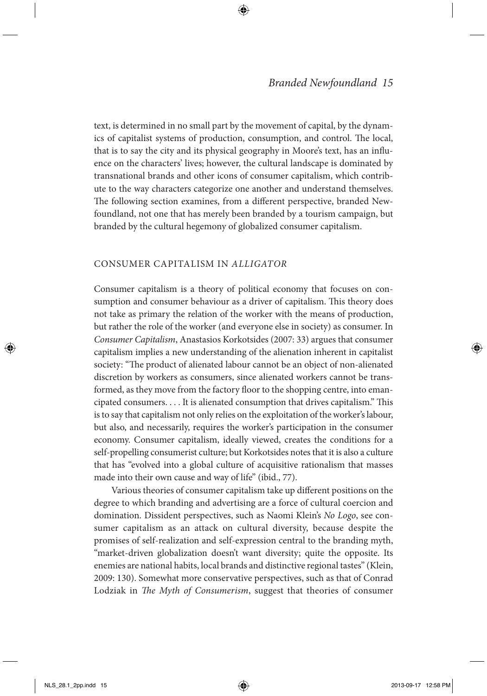text, is determined in no small part by the movement of capital, by the dynamics of capitalist systems of production, consumption, and control. The local, that is to say the city and its physical geography in Moore's text, has an influence on the characters' lives; however, the cultural landscape is dominated by transnational brands and other icons of consumer capitalism, which contribute to the way characters categorize one another and understand themselves. The following section examines, from a different perspective, branded Newfoundland, not one that has merely been branded by a tourism campaign, but branded by the cultural hegemony of globalized consumer capitalism.

#### Consumer Capitalism in *Alligator*

Consumer capitalism is a theory of political economy that focuses on consumption and consumer behaviour as a driver of capitalism. This theory does not take as primary the relation of the worker with the means of production, but rather the role of the worker (and everyone else in society) as consumer. In *Consumer Capitalism*, Anastasios Korkotsides (2007: 33) argues that consumer capitalism implies a new understanding of the alienation inherent in capitalist society: "The product of alienated labour cannot be an object of non-alienated discretion by workers as consumers, since alienated workers cannot be transformed, as they move from the factory floor to the shopping centre, into emancipated consumers. . . . It is alienated consumption that drives capitalism." This is to say that capitalism not only relies on the exploitation of the worker's labour, but also, and necessarily, requires the worker's participation in the consumer economy. Consumer capitalism, ideally viewed, creates the conditions for a self-propelling consumerist culture; but Korkotsides notes that it is also a culture that has "evolved into a global culture of acquisitive rationalism that masses made into their own cause and way of life" (ibid., 77).

Various theories of consumer capitalism take up different positions on the degree to which branding and advertising are a force of cultural coercion and domination. Dissident perspectives, such as Naomi Klein's *No Logo*, see consumer capitalism as an attack on cultural diversity, because despite the promises of self-realization and self-expression central to the branding myth, "market-driven globalization doesn't want diversity; quite the opposite. Its enemies are national habits, local brands and distinctive regional tastes" (Klein, 2009: 130). Somewhat more conservative perspectives, such as that of Conrad Lodziak in *The Myth of Consumerism*, suggest that theories of consumer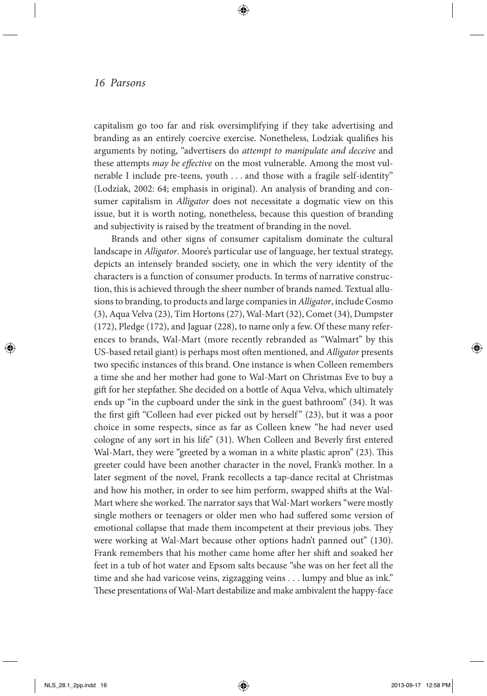capitalism go too far and risk oversimplifying if they take advertising and branding as an entirely coercive exercise. Nonetheless, Lodziak qualifies his arguments by noting, "advertisers do *attempt to manipulate and deceive* and these attempts *may be effective* on the most vulnerable. Among the most vulnerable I include pre-teens, youth . . . and those with a fragile self-identity" (Lodziak, 2002: 64; emphasis in original). An analysis of branding and consumer capitalism in *Alligator* does not necessitate a dogmatic view on this issue, but it is worth noting, nonetheless, because this question of branding and subjectivity is raised by the treatment of branding in the novel.

Brands and other signs of consumer capitalism dominate the cultural landscape in *Alligator*. Moore's particular use of language, her textual strategy, depicts an intensely branded society, one in which the very identity of the characters is a function of consumer products. In terms of narrative construction, this is achieved through the sheer number of brands named. Textual allusions to branding, to products and large companies in *Alligator*, include Cosmo (3), Aqua Velva (23), Tim Hortons (27), Wal-Mart (32), Comet (34), Dumpster (172), Pledge (172), and Jaguar (228), to name only a few. Of these many references to brands, Wal-Mart (more recently rebranded as "Walmart" by this US-based retail giant) is perhaps most often mentioned, and *Alligator* presents two specific instances of this brand. One instance is when Colleen remembers a time she and her mother had gone to Wal-Mart on Christmas Eve to buy a gift for her stepfather. She decided on a bottle of Aqua Velva, which ultimately ends up "in the cupboard under the sink in the guest bathroom" (34). It was the first gift "Colleen had ever picked out by herself" (23), but it was a poor choice in some respects, since as far as Colleen knew "he had never used cologne of any sort in his life" (31). When Colleen and Beverly first entered Wal-Mart, they were "greeted by a woman in a white plastic apron" (23). This greeter could have been another character in the novel, Frank's mother. In a later segment of the novel, Frank recollects a tap-dance recital at Christmas and how his mother, in order to see him perform, swapped shifts at the Wal-Mart where she worked. The narrator says that Wal-Mart workers "were mostly single mothers or teenagers or older men who had suffered some version of emotional collapse that made them incompetent at their previous jobs. They were working at Wal-Mart because other options hadn't panned out" (130). Frank remembers that his mother came home after her shift and soaked her feet in a tub of hot water and Epsom salts because "she was on her feet all the time and she had varicose veins, zigzagging veins . . . lumpy and blue as ink." These presentations of Wal-Mart destabilize and make ambivalent the happy-face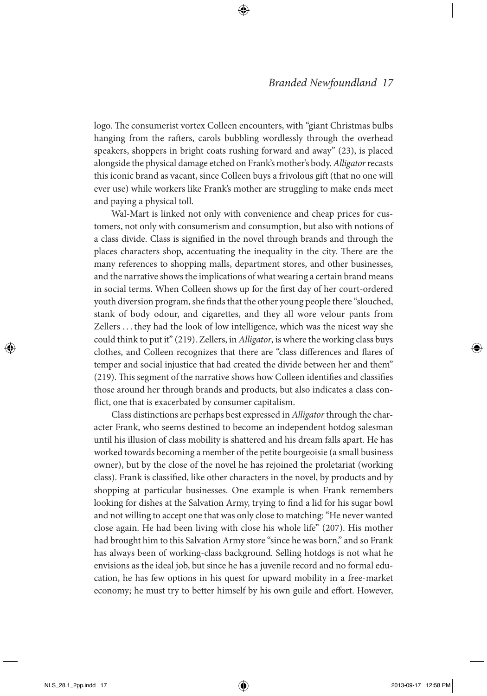logo. The consumerist vortex Colleen encounters, with "giant Christmas bulbs hanging from the rafters, carols bubbling wordlessly through the overhead speakers, shoppers in bright coats rushing forward and away" (23), is placed alongside the physical damage etched on Frank's mother's body. *Alligator* recasts this iconic brand as vacant, since Colleen buys a frivolous gift (that no one will ever use) while workers like Frank's mother are struggling to make ends meet and paying a physical toll.

Wal-Mart is linked not only with convenience and cheap prices for customers, not only with consumerism and consumption, but also with notions of a class divide. Class is signified in the novel through brands and through the places characters shop, accentuating the inequality in the city. There are the many references to shopping malls, department stores, and other businesses, and the narrative shows the implications of what wearing a certain brand means in social terms. When Colleen shows up for the first day of her court-ordered youth diversion program, she finds that the other young people there "slouched, stank of body odour, and cigarettes, and they all wore velour pants from Zellers . . . they had the look of low intelligence, which was the nicest way she could think to put it" (219). Zellers, in *Alligator*, is where the working class buys clothes, and Colleen recognizes that there are "class differences and flares of temper and social injustice that had created the divide between her and them" (219). This segment of the narrative shows how Colleen identifies and classifies those around her through brands and products, but also indicates a class conflict, one that is exacerbated by consumer capitalism.

Class distinctions are perhaps best expressed in *Alligator* through the character Frank, who seems destined to become an independent hotdog salesman until his illusion of class mobility is shattered and his dream falls apart. He has worked towards becoming a member of the petite bourgeoisie (a small business owner), but by the close of the novel he has rejoined the proletariat (working class). Frank is classified, like other characters in the novel, by products and by shopping at particular businesses. One example is when Frank remembers looking for dishes at the Salvation Army, trying to find a lid for his sugar bowl and not willing to accept one that was only close to matching: "He never wanted close again. He had been living with close his whole life" (207). His mother had brought him to this Salvation Army store "since he was born," and so Frank has always been of working-class background. Selling hotdogs is not what he envisions as the ideal job, but since he has a juvenile record and no formal education, he has few options in his quest for upward mobility in a free-market economy; he must try to better himself by his own guile and effort. However,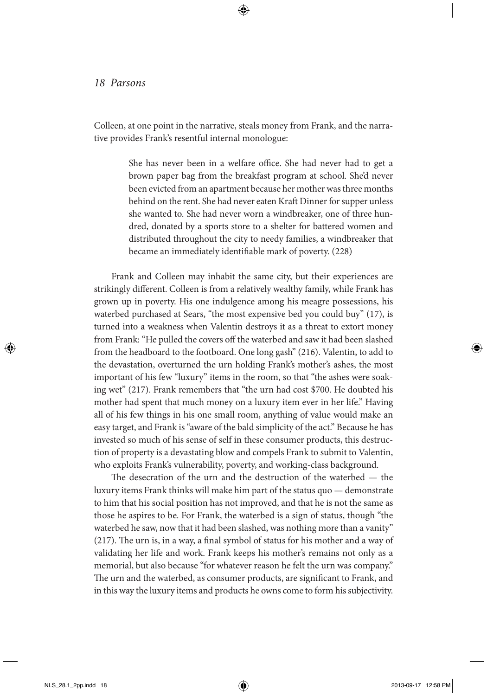Colleen, at one point in the narrative, steals money from Frank, and the narrative provides Frank's resentful internal monologue:

> She has never been in a welfare office. She had never had to get a brown paper bag from the breakfast program at school. She'd never been evicted from an apartment because her mother was three months behind on the rent. She had never eaten Kraft Dinner for supper unless she wanted to. She had never worn a windbreaker, one of three hundred, donated by a sports store to a shelter for battered women and distributed throughout the city to needy families, a windbreaker that became an immediately identifiable mark of poverty. (228)

Frank and Colleen may inhabit the same city, but their experiences are strikingly different. Colleen is from a relatively wealthy family, while Frank has grown up in poverty. His one indulgence among his meagre possessions, his waterbed purchased at Sears, "the most expensive bed you could buy" (17), is turned into a weakness when Valentin destroys it as a threat to extort money from Frank: "He pulled the covers off the waterbed and saw it had been slashed from the headboard to the footboard. One long gash" (216). Valentin, to add to the devastation, overturned the urn holding Frank's mother's ashes, the most important of his few "luxury" items in the room, so that "the ashes were soaking wet" (217). Frank remembers that "the urn had cost \$700. He doubted his mother had spent that much money on a luxury item ever in her life." Having all of his few things in his one small room, anything of value would make an easy target, and Frank is "aware of the bald simplicity of the act." Because he has invested so much of his sense of self in these consumer products, this destruction of property is a devastating blow and compels Frank to submit to Valentin, who exploits Frank's vulnerability, poverty, and working-class background.

The desecration of the urn and the destruction of the waterbed — the luxury items Frank thinks will make him part of the status quo — demonstrate to him that his social position has not improved, and that he is not the same as those he aspires to be. For Frank, the waterbed is a sign of status, though "the waterbed he saw, now that it had been slashed, was nothing more than a vanity" (217). The urn is, in a way, a final symbol of status for his mother and a way of validating her life and work. Frank keeps his mother's remains not only as a memorial, but also because "for whatever reason he felt the urn was company." The urn and the waterbed, as consumer products, are significant to Frank, and in this way the luxury items and products he owns come to form his subjectivity.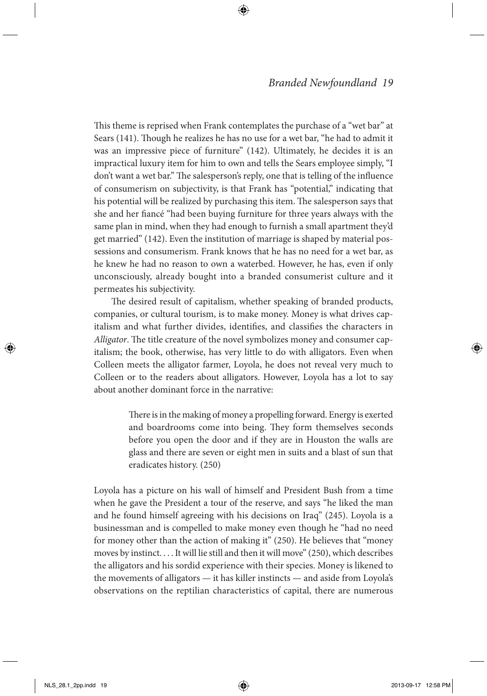This theme is reprised when Frank contemplates the purchase of a "wet bar" at Sears (141). Though he realizes he has no use for a wet bar, "he had to admit it was an impressive piece of furniture" (142). Ultimately, he decides it is an impractical luxury item for him to own and tells the Sears employee simply, "I don't want a wet bar." The salesperson's reply, one that is telling of the influence of consumerism on subjectivity, is that Frank has "potential," indicating that his potential will be realized by purchasing this item. The salesperson says that she and her fiancé "had been buying furniture for three years always with the same plan in mind, when they had enough to furnish a small apartment they'd get married" (142). Even the institution of marriage is shaped by material possessions and consumerism. Frank knows that he has no need for a wet bar, as he knew he had no reason to own a waterbed. However, he has, even if only unconsciously, already bought into a branded consumerist culture and it permeates his subjectivity.

The desired result of capitalism, whether speaking of branded products, companies, or cultural tourism, is to make money. Money is what drives capitalism and what further divides, identifies, and classifies the characters in *Alligator*. The title creature of the novel symbolizes money and consumer capitalism; the book, otherwise, has very little to do with alligators. Even when Colleen meets the alligator farmer, Loyola, he does not reveal very much to Colleen or to the readers about alligators. However, Loyola has a lot to say about another dominant force in the narrative:

> There is in the making of money a propelling forward. Energy is exerted and boardrooms come into being. They form themselves seconds before you open the door and if they are in Houston the walls are glass and there are seven or eight men in suits and a blast of sun that eradicates history. (250)

Loyola has a picture on his wall of himself and President Bush from a time when he gave the President a tour of the reserve, and says "he liked the man and he found himself agreeing with his decisions on Iraq" (245). Loyola is a businessman and is compelled to make money even though he "had no need for money other than the action of making it" (250). He believes that "money moves by instinct. . . . It will lie still and then it will move" (250), which describes the alligators and his sordid experience with their species. Money is likened to the movements of alligators — it has killer instincts — and aside from Loyola's observations on the reptilian characteristics of capital, there are numerous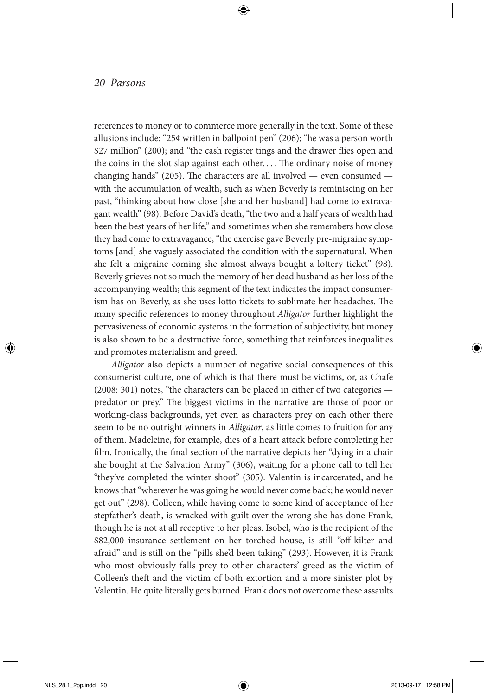references to money or to commerce more generally in the text. Some of these allusions include: "25¢ written in ballpoint pen" (206); "he was a person worth \$27 million" (200); and "the cash register tings and the drawer flies open and the coins in the slot slap against each other. . . . The ordinary noise of money changing hands" (205). The characters are all involved  $-$  even consumed  $$ with the accumulation of wealth, such as when Beverly is reminiscing on her past, "thinking about how close [she and her husband] had come to extravagant wealth" (98). Before David's death, "the two and a half years of wealth had been the best years of her life," and sometimes when she remembers how close they had come to extravagance, "the exercise gave Beverly pre-migraine symptoms [and] she vaguely associated the condition with the supernatural. When she felt a migraine coming she almost always bought a lottery ticket" (98). Beverly grieves not so much the memory of her dead husband as her loss of the accompanying wealth; this segment of the text indicates the impact consumerism has on Beverly, as she uses lotto tickets to sublimate her headaches. The many specific references to money throughout *Alligator* further highlight the pervasiveness of economic systems in the formation of subjectivity, but money is also shown to be a destructive force, something that reinforces inequalities and promotes materialism and greed.

*Alligator* also depicts a number of negative social consequences of this consumerist culture, one of which is that there must be victims, or, as Chafe (2008: 301) notes, "the characters can be placed in either of two categories predator or prey." The biggest victims in the narrative are those of poor or working-class backgrounds, yet even as characters prey on each other there seem to be no outright winners in *Alligator*, as little comes to fruition for any of them. Madeleine, for example, dies of a heart attack before completing her film. Ironically, the final section of the narrative depicts her "dying in a chair she bought at the Salvation Army" (306), waiting for a phone call to tell her "they've completed the winter shoot" (305). Valentin is incarcerated, and he knows that "wherever he was going he would never come back; he would never get out" (298). Colleen, while having come to some kind of acceptance of her stepfather's death, is wracked with guilt over the wrong she has done Frank, though he is not at all receptive to her pleas. Isobel, who is the recipient of the \$82,000 insurance settlement on her torched house, is still "off-kilter and afraid" and is still on the "pills she'd been taking" (293). However, it is Frank who most obviously falls prey to other characters' greed as the victim of Colleen's theft and the victim of both extortion and a more sinister plot by Valentin. He quite literally gets burned. Frank does not overcome these assaults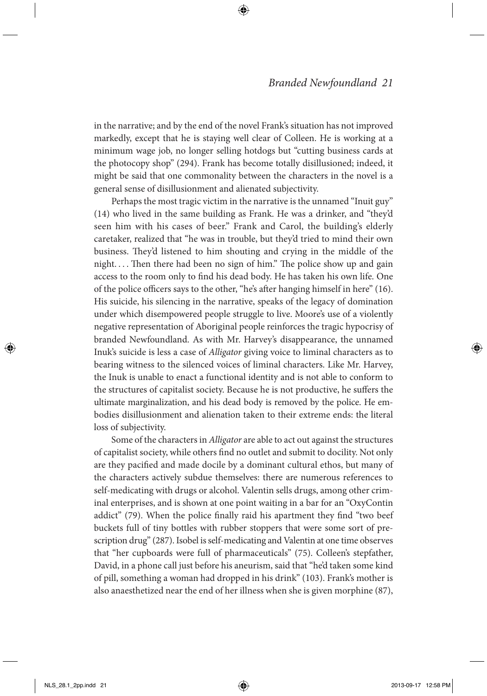in the narrative; and by the end of the novel Frank's situation has not improved markedly, except that he is staying well clear of Colleen. He is working at a minimum wage job, no longer selling hotdogs but "cutting business cards at the photocopy shop" (294). Frank has become totally disillusioned; indeed, it might be said that one commonality between the characters in the novel is a general sense of disillusionment and alienated subjectivity.

Perhaps the most tragic victim in the narrative is the unnamed "Inuit guy" (14) who lived in the same building as Frank. He was a drinker, and "they'd seen him with his cases of beer." Frank and Carol, the building's elderly caretaker, realized that "he was in trouble, but they'd tried to mind their own business. They'd listened to him shouting and crying in the middle of the night. . . . Then there had been no sign of him." The police show up and gain access to the room only to find his dead body. He has taken his own life. One of the police officers says to the other, "he's after hanging himself in here" (16). His suicide, his silencing in the narrative, speaks of the legacy of domination under which disempowered people struggle to live. Moore's use of a violently negative representation of Aboriginal people reinforces the tragic hypocrisy of branded Newfoundland. As with Mr. Harvey's disappearance, the unnamed Inuk's suicide is less a case of *Alligator* giving voice to liminal characters as to bearing witness to the silenced voices of liminal characters. Like Mr. Harvey, the Inuk is unable to enact a functional identity and is not able to conform to the structures of capitalist society. Because he is not productive, he suffers the ultimate marginalization, and his dead body is removed by the police. He embodies disillusionment and alienation taken to their extreme ends: the literal loss of subjectivity.

Some of the characters in *Alligator* are able to act out against the structures of capitalist society, while others find no outlet and submit to docility. Not only are they pacified and made docile by a dominant cultural ethos, but many of the characters actively subdue themselves: there are numerous references to self-medicating with drugs or alcohol. Valentin sells drugs, among other criminal enterprises, and is shown at one point waiting in a bar for an "OxyContin addict" (79). When the police finally raid his apartment they find "two beef buckets full of tiny bottles with rubber stoppers that were some sort of prescription drug" (287). Isobel is self-medicating and Valentin at one time observes that "her cupboards were full of pharmaceuticals" (75). Colleen's stepfather, David, in a phone call just before his aneurism, said that "he'd taken some kind of pill, something a woman had dropped in his drink" (103). Frank's mother is also anaesthetized near the end of her illness when she is given morphine (87),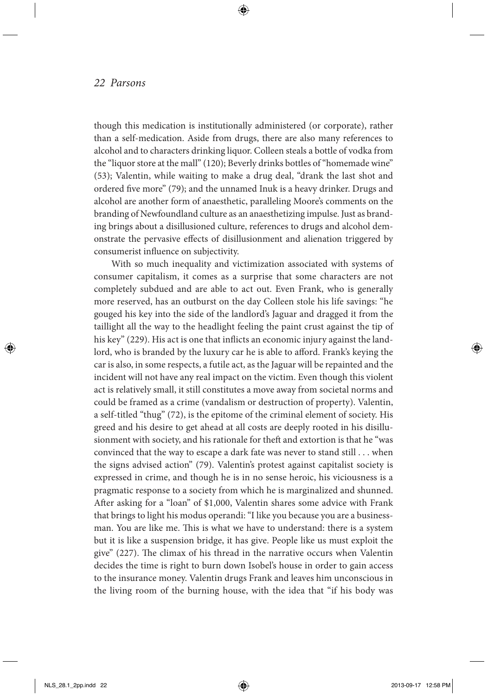though this medication is institutionally administered (or corporate), rather than a self-medication. Aside from drugs, there are also many references to alcohol and to characters drinking liquor. Colleen steals a bottle of vodka from the "liquor store at the mall" (120); Beverly drinks bottles of "homemade wine" (53); Valentin, while waiting to make a drug deal, "drank the last shot and ordered five more" (79); and the unnamed Inuk is a heavy drinker. Drugs and alcohol are another form of anaesthetic, paralleling Moore's comments on the branding of Newfoundland culture as an anaesthetizing impulse. Just as branding brings about a disillusioned culture, references to drugs and alcohol demonstrate the pervasive effects of disillusionment and alienation triggered by consumerist influence on subjectivity.

With so much inequality and victimization associated with systems of consumer capitalism, it comes as a surprise that some characters are not completely subdued and are able to act out. Even Frank, who is generally more reserved, has an outburst on the day Colleen stole his life savings: "he gouged his key into the side of the landlord's Jaguar and dragged it from the taillight all the way to the headlight feeling the paint crust against the tip of his key" (229). His act is one that inflicts an economic injury against the landlord, who is branded by the luxury car he is able to afford. Frank's keying the car is also, in some respects, a futile act, as the Jaguar will be repainted and the incident will not have any real impact on the victim. Even though this violent act is relatively small, it still constitutes a move away from societal norms and could be framed as a crime (vandalism or destruction of property). Valentin, a self-titled "thug" (72), is the epitome of the criminal element of society. His greed and his desire to get ahead at all costs are deeply rooted in his disillusionment with society, and his rationale for theft and extortion is that he "was convinced that the way to escape a dark fate was never to stand still . . . when the signs advised action" (79). Valentin's protest against capitalist society is expressed in crime, and though he is in no sense heroic, his viciousness is a pragmatic response to a society from which he is marginalized and shunned. After asking for a "loan" of \$1,000, Valentin shares some advice with Frank that brings to light his modus operandi: "I like you because you are a businessman. You are like me. This is what we have to understand: there is a system but it is like a suspension bridge, it has give. People like us must exploit the give" (227). The climax of his thread in the narrative occurs when Valentin decides the time is right to burn down Isobel's house in order to gain access to the insurance money. Valentin drugs Frank and leaves him unconscious in the living room of the burning house, with the idea that "if his body was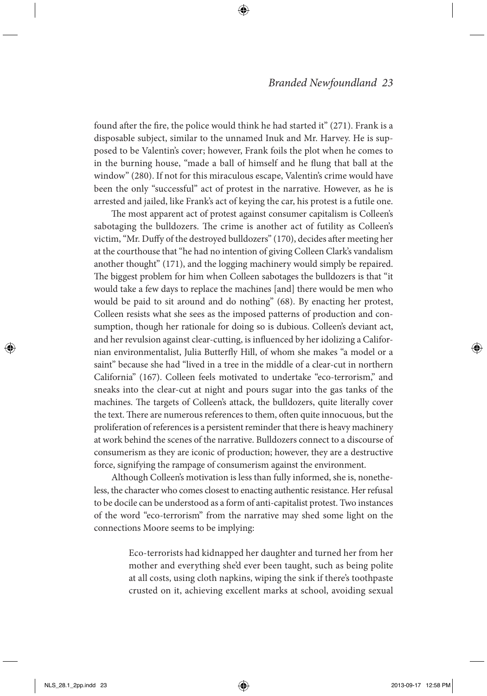found after the fire, the police would think he had started it" (271). Frank is a disposable subject, similar to the unnamed Inuk and Mr. Harvey. He is supposed to be Valentin's cover; however, Frank foils the plot when he comes to in the burning house, "made a ball of himself and he flung that ball at the window" (280). If not for this miraculous escape, Valentin's crime would have been the only "successful" act of protest in the narrative. However, as he is arrested and jailed, like Frank's act of keying the car, his protest is a futile one.

The most apparent act of protest against consumer capitalism is Colleen's sabotaging the bulldozers. The crime is another act of futility as Colleen's victim, "Mr. Duffy of the destroyed bulldozers" (170), decides after meeting her at the courthouse that "he had no intention of giving Colleen Clark's vandalism another thought" (171), and the logging machinery would simply be repaired. The biggest problem for him when Colleen sabotages the bulldozers is that "it would take a few days to replace the machines [and] there would be men who would be paid to sit around and do nothing" (68). By enacting her protest, Colleen resists what she sees as the imposed patterns of production and consumption, though her rationale for doing so is dubious. Colleen's deviant act, and her revulsion against clear-cutting, is influenced by her idolizing a Californian environmentalist, Julia Butterfly Hill, of whom she makes "a model or a saint" because she had "lived in a tree in the middle of a clear-cut in northern California" (167). Colleen feels motivated to undertake "eco-terrorism," and sneaks into the clear-cut at night and pours sugar into the gas tanks of the machines. The targets of Colleen's attack, the bulldozers, quite literally cover the text. There are numerous references to them, often quite innocuous, but the proliferation of references is a persistent reminder that there is heavy machinery at work behind the scenes of the narrative. Bulldozers connect to a discourse of consumerism as they are iconic of production; however, they are a destructive force, signifying the rampage of consumerism against the environment.

Although Colleen's motivation is less than fully informed, she is, nonetheless, the character who comes closest to enacting authentic resistance. Her refusal to be docile can be understood as a form of anti-capitalist protest. Two instances of the word "eco-terrorism" from the narrative may shed some light on the connections Moore seems to be implying:

> Eco-terrorists had kidnapped her daughter and turned her from her mother and everything she'd ever been taught, such as being polite at all costs, using cloth napkins, wiping the sink if there's toothpaste crusted on it, achieving excellent marks at school, avoiding sexual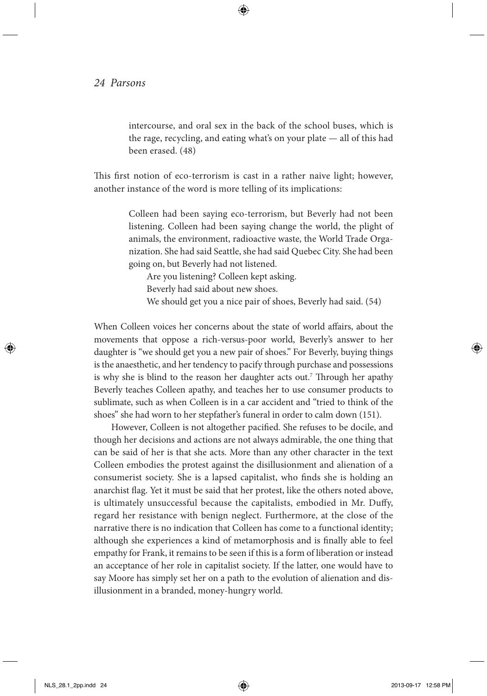intercourse, and oral sex in the back of the school buses, which is the rage, recycling, and eating what's on your plate — all of this had been erased. (48)

This first notion of eco-terrorism is cast in a rather naive light; however, another instance of the word is more telling of its implications:

> Colleen had been saying eco-terrorism, but Beverly had not been listening. Colleen had been saying change the world, the plight of animals, the environment, radioactive waste, the World Trade Organization. She had said Seattle, she had said Quebec City. She had been going on, but Beverly had not listened.

Are you listening? Colleen kept asking. Beverly had said about new shoes. We should get you a nice pair of shoes, Beverly had said. (54)

When Colleen voices her concerns about the state of world affairs, about the movements that oppose a rich-versus-poor world, Beverly's answer to her daughter is "we should get you a new pair of shoes." For Beverly, buying things is the anaesthetic, and her tendency to pacify through purchase and possessions is why she is blind to the reason her daughter acts out.<sup>7</sup> Through her apathy Beverly teaches Colleen apathy, and teaches her to use consumer products to sublimate, such as when Colleen is in a car accident and "tried to think of the shoes" she had worn to her stepfather's funeral in order to calm down (151).

However, Colleen is not altogether pacified. She refuses to be docile, and though her decisions and actions are not always admirable, the one thing that can be said of her is that she acts. More than any other character in the text Colleen embodies the protest against the disillusionment and alienation of a consumerist society. She is a lapsed capitalist, who finds she is holding an anarchist flag. Yet it must be said that her protest, like the others noted above, is ultimately unsuccessful because the capitalists, embodied in Mr. Duffy, regard her resistance with benign neglect. Furthermore, at the close of the narrative there is no indication that Colleen has come to a functional identity; although she experiences a kind of metamorphosis and is finally able to feel empathy for Frank, it remains to be seen if this is a form of liberation or instead an acceptance of her role in capitalist society. If the latter, one would have to say Moore has simply set her on a path to the evolution of alienation and disillusionment in a branded, money-hungry world.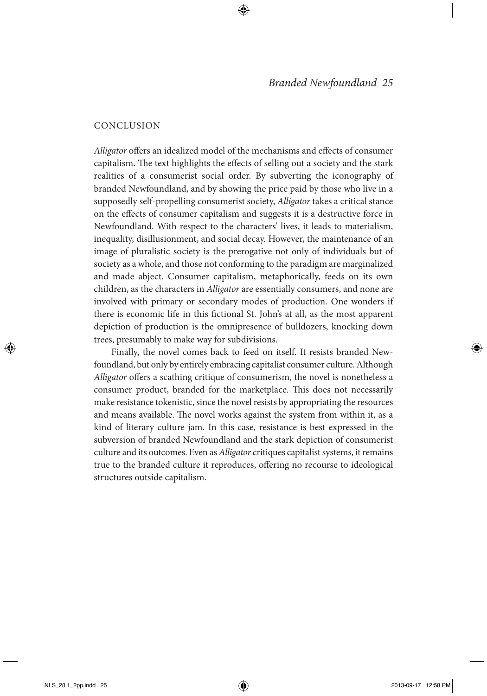#### **CONCLUSION**

*Alligator* offers an idealized model of the mechanisms and effects of consumer capitalism. The text highlights the effects of selling out a society and the stark realities of a consumerist social order. By subverting the iconography of branded Newfoundland, and by showing the price paid by those who live in a supposedly self-propelling consumerist society, *Alligator* takes a critical stance on the effects of consumer capitalism and suggests it is a destructive force in Newfoundland. With respect to the characters' lives, it leads to materialism, inequality, disillusionment, and social decay. However, the maintenance of an image of pluralistic society is the prerogative not only of individuals but of society as a whole, and those not conforming to the paradigm are marginalized and made abject. Consumer capitalism, metaphorically, feeds on its own children, as the characters in *Alligator* are essentially consumers, and none are involved with primary or secondary modes of production. One wonders if there is economic life in this fictional St. John's at all, as the most apparent depiction of production is the omnipresence of bulldozers, knocking down trees, presumably to make way for subdivisions.

Finally, the novel comes back to feed on itself. It resists branded Newfoundland, but only by entirely embracing capitalist consumer culture. Although *Alligator* offers a scathing critique of consumerism, the novel is nonetheless a consumer product, branded for the marketplace. This does not necessarily make resistance tokenistic, since the novel resists by appropriating the resources and means available. The novel works against the system from within it, as a kind of literary culture jam. In this case, resistance is best expressed in the subversion of branded Newfoundland and the stark depiction of consumerist culture and its outcomes. Even as *Alligator* critiques capitalist systems, it remains true to the branded culture it reproduces, offering no recourse to ideological structures outside capitalism.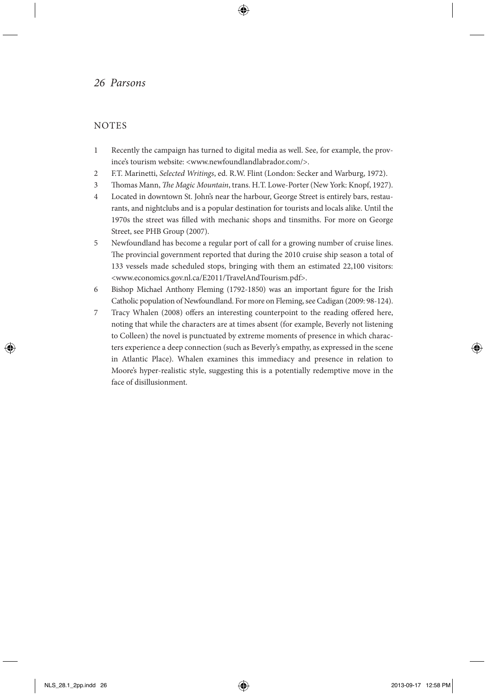#### **NOTES**

- 1 Recently the campaign has turned to digital media as well. See, for example, the province's tourism website: <www.newfoundlandlabrador.com/>.
- 2 F.T. Marinetti, *Selected Writings*, ed. R.W. Flint (London: Secker and Warburg, 1972).
- 3 Thomas Mann, *The Magic Mountain*, trans. H.T. Lowe-Porter (New York: Knopf, 1927).
- 4 Located in downtown St. John's near the harbour, George Street is entirely bars, restaurants, and nightclubs and is a popular destination for tourists and locals alike. Until the 1970s the street was filled with mechanic shops and tinsmiths. For more on George Street, see PHB Group (2007).
- 5 Newfoundland has become a regular port of call for a growing number of cruise lines. The provincial government reported that during the 2010 cruise ship season a total of 133 vessels made scheduled stops, bringing with them an estimated 22,100 visitors: <www.economics.gov.nl.ca/E2011/TravelAndTourism.pdf>.
- 6 Bishop Michael Anthony Fleming (1792-1850) was an important figure for the Irish Catholic population of Newfoundland. For more on Fleming, see Cadigan (2009: 98-124).
- 7 Tracy Whalen (2008) offers an interesting counterpoint to the reading offered here, noting that while the characters are at times absent (for example, Beverly not listening to Colleen) the novel is punctuated by extreme moments of presence in which characters experience a deep connection (such as Beverly's empathy, as expressed in the scene in Atlantic Place). Whalen examines this immediacy and presence in relation to Moore's hyper-realistic style, suggesting this is a potentially redemptive move in the face of disillusionment.